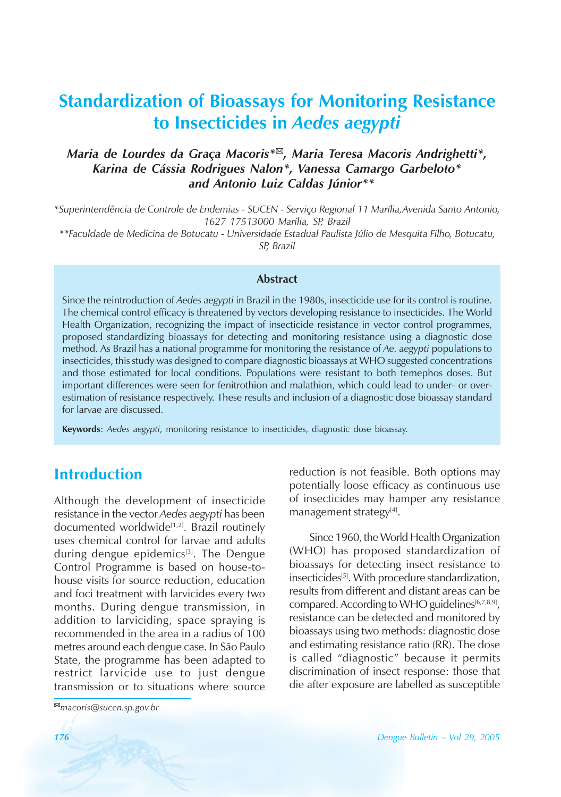# **Standardization of Bioassays for Monitoring Resistance to Insecticides in** *Aedes aegypti*

### *Maria de Lourdes da Graça Macoris*<sup>\*⊠</sup>, *Maria Teresa Macoris Andrighetti<sup>\*</sup>*, Karina de Cássia Rodrigues Nalon\*, Vanessa Camargo Garbeloto\*  *and Antonio Luiz Caldas J˙nior\*\**

*\*SuperintendÍncia de Controle de Endemias - SUCEN - ServiÁo Regional 11 MarÌlia,Avenida Santo Antonio, 1627 17513000 MarÌlia, SP, Brazil*

*\*\*Faculdade de Medicina de Botucatu - Universidade Estadual Paulista J˙lio de Mesquita Filho, Botucatu, SP, Brazil*

### **Abstract**

Since the reintroduction of *Aedes aegypti* in Brazil in the 1980s, insecticide use for its control is routine. The chemical control efficacy is threatened by vectors developing resistance to insecticides. The World Health Organization, recognizing the impact of insecticide resistance in vector control programmes, proposed standardizing bioassays for detecting and monitoring resistance using a diagnostic dose method. As Brazil has a national programme for monitoring the resistance of *Ae. aegypti* populations to insecticides, this study was designed to compare diagnostic bioassays at WHO suggested concentrations and those estimated for local conditions. Populations were resistant to both temephos doses. But important differences were seen for fenitrothion and malathion, which could lead to under- or overestimation of resistance respectively. These results and inclusion of a diagnostic dose bioassay standard for larvae are discussed.

**Keywords**: *Aedes aegypti*, monitoring resistance to insecticides, diagnostic dose bioassay.

# **Introduction**

Although the development of insecticide resistance in the vector *Aedes aegypti* has been documented worldwide<sup>[1,2]</sup>. Brazil routinely uses chemical control for larvae and adults during dengue epidemics $[3]$ . The Dengue Control Programme is based on house-tohouse visits for source reduction, education and foci treatment with larvicides every two months. During dengue transmission, in addition to larviciding, space spraying is recommended in the area in a radius of 100 metres around each dengue case. In São Paulo State, the programme has been adapted to restrict larvicide use to just dengue transmission or to situations where source

reduction is not feasible. Both options may potentially loose efficacy as continuous use of insecticides may hamper any resistance management strategy<sup>[4]</sup>.

Since 1960, the World Health Organization (WHO) has proposed standardization of bioassays for detecting insect resistance to insecticides<sup>[5]</sup>. With procedure standardization, results from different and distant areas can be compared. According to WHO guidelines<sup>[6,7,8,9]</sup>, resistance can be detected and monitored by bioassays using two methods: diagnostic dose and estimating resistance ratio (RR). The dose is called "diagnostic" because it permits discrimination of insect response: those that die after exposure are labelled as susceptible

<sup>!</sup>*macoris@sucen.sp.gov.br*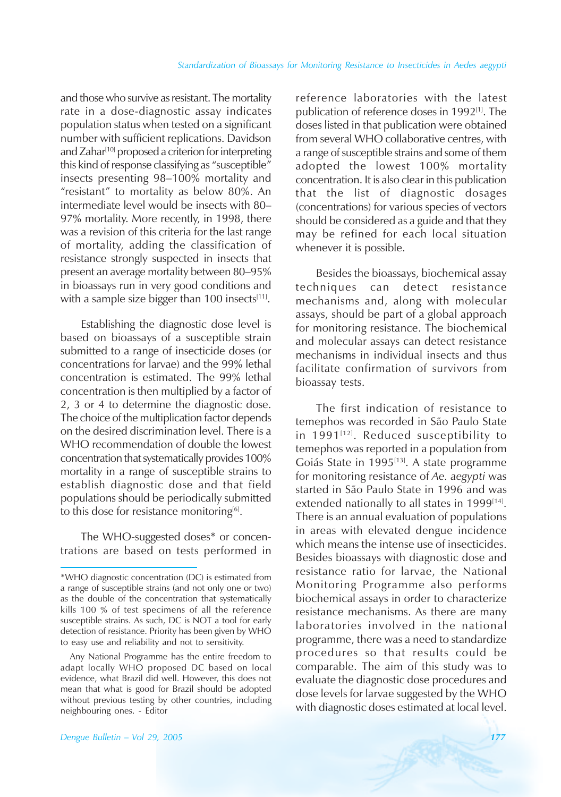and those who survive as resistant. The mortality rate in a dose-diagnostic assay indicates population status when tested on a significant number with sufficient replications. Davidson and Zahar<sup>[10]</sup> proposed a criterion for interpreting this kind of response classifying as "susceptible" insects presenting 98-100% mortality and "resistant" to mortality as below 80%. An intermediate level would be insects with 80-97% mortality. More recently, in 1998, there was a revision of this criteria for the last range of mortality, adding the classification of resistance strongly suspected in insects that present an average mortality between 80-95% in bioassays run in very good conditions and with a sample size bigger than 100 insects $[11]$ .

Establishing the diagnostic dose level is based on bioassays of a susceptible strain submitted to a range of insecticide doses (or concentrations for larvae) and the 99% lethal concentration is estimated. The 99% lethal concentration is then multiplied by a factor of 2, 3 or 4 to determine the diagnostic dose. The choice of the multiplication factor depends on the desired discrimination level. There is a WHO recommendation of double the lowest concentration that systematically provides 100% mortality in a range of susceptible strains to establish diagnostic dose and that field populations should be periodically submitted to this dose for resistance monitoring $[6]$ .

The WHO-suggested doses\* or concentrations are based on tests performed in reference laboratories with the latest publication of reference doses in 1992<sup>[1]</sup>. The doses listed in that publication were obtained from several WHO collaborative centres, with a range of susceptible strains and some of them adopted the lowest 100% mortality concentration. It is also clear in this publication that the list of diagnostic dosages (concentrations) for various species of vectors should be considered as a guide and that they may be refined for each local situation whenever it is possible.

Besides the bioassays, biochemical assay techniques can detect resistance mechanisms and, along with molecular assays, should be part of a global approach for monitoring resistance. The biochemical and molecular assays can detect resistance mechanisms in individual insects and thus facilitate confirmation of survivors from bioassay tests.

The first indication of resistance to temephos was recorded in São Paulo State in  $1991$ <sup>[12]</sup>. Reduced susceptibility to temephos was reported in a population from Goiás State in 1995<sup>[13]</sup>. A state programme for monitoring resistance of *Ae. aegypti* was started in São Paulo State in 1996 and was extended nationally to all states in 1999<sup>[14]</sup>. There is an annual evaluation of populations in areas with elevated dengue incidence which means the intense use of insecticides. Besides bioassays with diagnostic dose and resistance ratio for larvae, the National Monitoring Programme also performs biochemical assays in order to characterize resistance mechanisms. As there are many laboratories involved in the national programme, there was a need to standardize procedures so that results could be comparable. The aim of this study was to evaluate the diagnostic dose procedures and dose levels for larvae suggested by the WHO with diagnostic doses estimated at local level.

<sup>\*</sup>WHO diagnostic concentration (DC) is estimated from a range of susceptible strains (and not only one or two) as the double of the concentration that systematically kills 100 % of test specimens of all the reference susceptible strains. As such, DC is NOT a tool for early detection of resistance. Priority has been given by WHO to easy use and reliability and not to sensitivity.

Any National Programme has the entire freedom to adapt locally WHO proposed DC based on local evidence, what Brazil did well. However, this does not mean that what is good for Brazil should be adopted without previous testing by other countries, including neighbouring ones. - Editor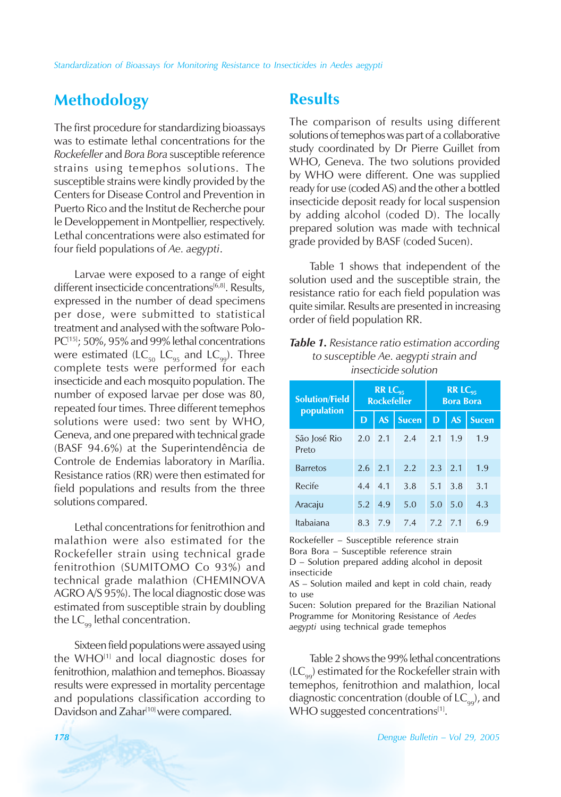# **Methodology**

The first procedure for standardizing bioassays was to estimate lethal concentrations for the *Rockefeller* and *Bora Bora* susceptible reference strains using temephos solutions. The susceptible strains were kindly provided by the Centers for Disease Control and Prevention in Puerto Rico and the Institut de Recherche pour le Developpement in Montpellier, respectively. Lethal concentrations were also estimated for four field populations of *Ae. aegypti*.

Larvae were exposed to a range of eight different insecticide concentrations<sup>[6,8]</sup>. Results, expressed in the number of dead specimens per dose, were submitted to statistical treatment and analysed with the software Polo-PC<sup>[15]</sup>; 50%, 95% and 99% lethal concentrations were estimated (LC<sub>50</sub> LC<sub>95</sub> and LC<sub>99</sub>). Three complete tests were performed for each insecticide and each mosquito population. The number of exposed larvae per dose was 80, repeated four times. Three different temephos solutions were used: two sent by WHO, Geneva, and one prepared with technical grade (BASF 94.6%) at the Superintendência de Controle de Endemias laboratory in Marília. Resistance ratios (RR) were then estimated for field populations and results from the three solutions compared.

Lethal concentrations for fenitrothion and malathion were also estimated for the Rockefeller strain using technical grade fenitrothion (SUMITOMO Co 93%) and technical grade malathion (CHEMINOVA AGRO A/S 95%). The local diagnostic dose was estimated from susceptible strain by doubling the  $LC_{\text{eq}}$  lethal concentration.

Sixteen field populations were assayed using the WHO<sup>[1]</sup> and local diagnostic doses for fenitrothion, malathion and temephos. Bioassay results were expressed in mortality percentage and populations classification according to Davidson and Zahar<sup>[10]</sup> were compared.

## **Results**

The comparison of results using different solutions of temephos was part of a collaborative study coordinated by Dr Pierre Guillet from WHO, Geneva. The two solutions provided by WHO were different. One was supplied ready for use (coded AS) and the other a bottled insecticide deposit ready for local suspension by adding alcohol (coded D). The locally prepared solution was made with technical grade provided by BASF (coded Sucen).

Table 1 shows that independent of the solution used and the susceptible strain, the resistance ratio for each field population was quite similar. Results are presented in increasing order of field population RR.

### *Table 1. Resistance ratio estimation according to susceptible Ae. aegypti strain and insecticide solution*

| <b>Solution/Field</b><br>population | $RR LC_{95}$<br><b>Rockefeller</b> |           |              | $RR$ $IC_{95}$<br><b>Bora Bora</b> |           |              |
|-------------------------------------|------------------------------------|-----------|--------------|------------------------------------|-----------|--------------|
|                                     | D                                  | <b>AS</b> | <b>Sucen</b> | D                                  | <b>AS</b> | <b>Sucen</b> |
| São José Rio<br>Preto               | 2.0                                | 2.1       | 2.4          | 2.1                                | 1.9       | 1.9          |
| <b>Barretos</b>                     | 2.6                                | $-2.1$    | 2.2          | 2.3                                | 2.1       | 1.9          |
| Recife                              | 4.4                                | 4.1       | 3.8          | 5.1                                | 3.8       | 3.1          |
| Aracaju                             | 5.2                                | 4.9       | 5.0          | 5.0                                | 5.0       | 4.3          |
| Itabaiana                           | 8.3                                | 7.9       | 7.4          | 7.2                                | 7.1       | 6.9          |

Rockefeller - Susceptible reference strain Bora Bora - Susceptible reference strain  $D$  – Solution prepared adding alcohol in deposit insecticide

 $AS -$  Solution mailed and kept in cold chain, ready to use

Sucen: Solution prepared for the Brazilian National Programme for Monitoring Resistance of *Aedes aegypti* using technical grade temephos

Table 2 shows the 99% lethal concentrations  $(LC_{oo})$  estimated for the Rockefeller strain with temephos, fenitrothion and malathion, local diagnostic concentration (double of  $LC_{qq}$ ), and WHO suggested concentrations[1].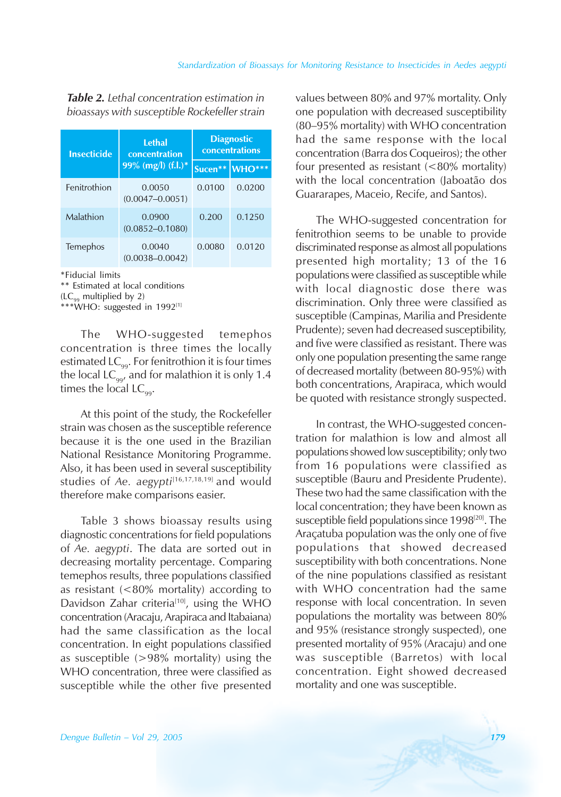*Table 2. Lethal concentration estimation in bioassays with susceptible Rockefeller strain*

| <b>Insecticide</b> | <b>Lethal</b><br>concentration | <b>Diagnostic</b><br>concentrations |          |  |
|--------------------|--------------------------------|-------------------------------------|----------|--|
|                    | 99% (mg/l) $(f.l.)^*$          | Sucen**                             | $WHO***$ |  |
| Fenitrothion       | 0.0050<br>$(0.0047 - 0.0051)$  | 0.0100                              | 0.0200   |  |
| Malathion          | 0.0900<br>$(0.0852 - 0.1080)$  | 0.200                               | 0.1250   |  |
| Temephos           | 0.0040<br>$(0.0038 - 0.0042)$  | 0.0080                              | 0.0120   |  |

\*Fiducial limits

\*\* Estimated at local conditions  $(LC_{oo}$  multiplied by 2)

\*\*\*WHO: suggested in 1992<sup>[1]</sup>

The WHO-suggested temephos concentration is three times the locally estimated  $LC_{oo}$ . For fenitrothion it is four times the local  $LC_{\text{qq}}$  and for malathion it is only 1.4 times the local  $LC_{\text{oo}}$ .

At this point of the study, the Rockefeller strain was chosen as the susceptible reference because it is the one used in the Brazilian National Resistance Monitoring Programme. Also, it has been used in several susceptibility studies of *Ae. aegypti*<sup>[16,17,18,19]</sup> and would therefore make comparisons easier.

Table 3 shows bioassay results using diagnostic concentrations for field populations of *Ae. aegypti*. The data are sorted out in decreasing mortality percentage. Comparing temephos results, three populations classified as resistant (<80% mortality) according to Davidson Zahar criteria<sup>[10]</sup>, using the WHO concentration (Aracaju, Arapiraca and Itabaiana) had the same classification as the local concentration. In eight populations classified as susceptible (>98% mortality) using the WHO concentration, three were classified as susceptible while the other five presented values between 80% and 97% mortality. Only one population with decreased susceptibility  $(80-95%$  mortality) with WHO concentration had the same response with the local concentration (Barra dos Coqueiros); the other four presented as resistant  $(<80\%$  mortality) with the local concentration (Jaboatão dos Guararapes, Maceio, Recife, and Santos).

The WHO-suggested concentration for fenitrothion seems to be unable to provide discriminated response as almost all populations presented high mortality; 13 of the 16 populations were classified as susceptible while with local diagnostic dose there was discrimination. Only three were classified as susceptible (Campinas, Marilia and Presidente Prudente); seven had decreased susceptibility, and five were classified as resistant. There was only one population presenting the same range of decreased mortality (between 80-95%) with both concentrations, Arapiraca, which would be quoted with resistance strongly suspected.

In contrast, the WHO-suggested concentration for malathion is low and almost all populations showed low susceptibility; only two from 16 populations were classified as susceptible (Bauru and Presidente Prudente). These two had the same classification with the local concentration; they have been known as susceptible field populations since 1998<sup>[20]</sup>. The Araçatuba population was the only one of five populations that showed decreased susceptibility with both concentrations. None of the nine populations classified as resistant with WHO concentration had the same response with local concentration. In seven populations the mortality was between 80% and 95% (resistance strongly suspected), one presented mortality of 95% (Aracaju) and one was susceptible (Barretos) with local concentration. Eight showed decreased mortality and one was susceptible.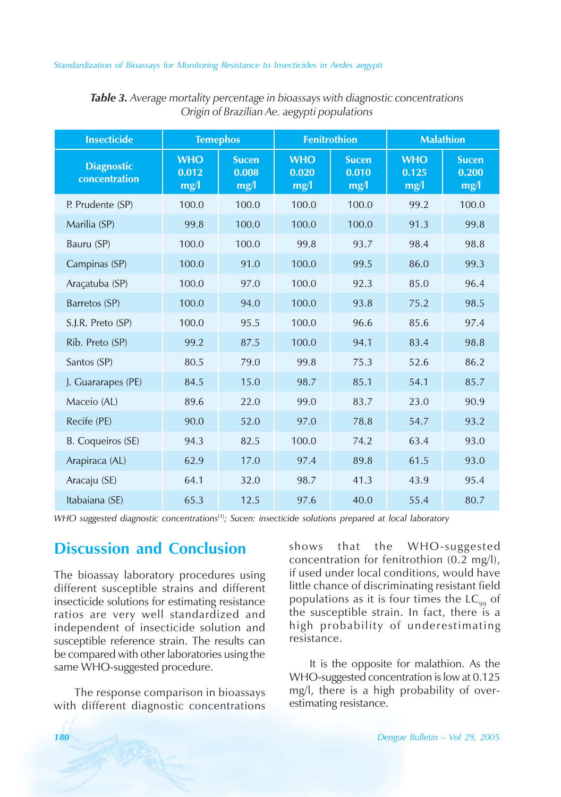#### *Standardization of Bioassays for Monitoring Resistance to Insecticides in Aedes aegypti*

| <b>Insecticide</b>                 | <b>Temephos</b>             |                               | <b>Fenitrothion</b>         |                               | <b>Malathion</b>            |                               |
|------------------------------------|-----------------------------|-------------------------------|-----------------------------|-------------------------------|-----------------------------|-------------------------------|
| <b>Diagnostic</b><br>concentration | <b>WHO</b><br>0.012<br>mg/l | <b>Sucen</b><br>0.008<br>mg/l | <b>WHO</b><br>0.020<br>mg/l | <b>Sucen</b><br>0.010<br>mg/l | <b>WHO</b><br>0.125<br>mg/l | <b>Sucen</b><br>0.200<br>mg/l |
| P. Prudente (SP)                   | 100.0                       | 100.0                         | 100.0                       | 100.0                         | 99.2                        | 100.0                         |
| Marilia (SP)                       | 99.8                        | 100.0                         | 100.0                       | 100.0                         | 91.3                        | 99.8                          |
| Bauru (SP)                         | 100.0                       | 100.0                         | 99.8                        | 93.7                          | 98.4                        | 98.8                          |
| Campinas (SP)                      | 100.0                       | 91.0                          | 100.0                       | 99.5                          | 86.0                        | 99.3                          |
| Araçatuba (SP)                     | 100.0                       | 97.0                          | 100.0                       | 92.3                          | 85.0                        | 96.4                          |
| Barretos (SP)                      | 100.0                       | 94.0                          | 100.0                       | 93.8                          | 75.2                        | 98.5                          |
| S.J.R. Preto (SP)                  | 100.0                       | 95.5                          | 100.0                       | 96.6                          | 85.6                        | 97.4                          |
| Rib. Preto (SP)                    | 99.2                        | 87.5                          | 100.0                       | 94.1                          | 83.4                        | 98.8                          |
| Santos (SP)                        | 80.5                        | 79.0                          | 99.8                        | 75.3                          | 52.6                        | 86.2                          |
| J. Guararapes (PE)                 | 84.5                        | 15.0                          | 98.7                        | 85.1                          | 54.1                        | 85.7                          |
| Maceio (AL)                        | 89.6                        | 22.0                          | 99.0                        | 83.7                          | 23.0                        | 90.9                          |
| Recife (PE)                        | 90.0                        | 52.0                          | 97.0                        | 78.8                          | 54.7                        | 93.2                          |
| B. Coqueiros (SE)                  | 94.3                        | 82.5                          | 100.0                       | 74.2                          | 63.4                        | 93.0                          |
| Arapiraca (AL)                     | 62.9                        | 17.0                          | 97.4                        | 89.8                          | 61.5                        | 93.0                          |
| Aracaju (SE)                       | 64.1                        | 32.0                          | 98.7                        | 41.3                          | 43.9                        | 95.4                          |
| Itabaiana (SE)                     | 65.3                        | 12.5                          | 97.6                        | 40.0                          | 55.4                        | 80.7                          |

| Table 3. Average mortality percentage in bioassays with diagnostic concentrations |                                             |  |  |
|-----------------------------------------------------------------------------------|---------------------------------------------|--|--|
|                                                                                   | Origin of Brazilian Ae. aegypti populations |  |  |

*WHO suggested diagnostic concentrations*[1]*; Sucen: insecticide solutions prepared at local laboratory*

# **Discussion and Conclusion**

The bioassay laboratory procedures using different susceptible strains and different insecticide solutions for estimating resistance ratios are very well standardized and independent of insecticide solution and susceptible reference strain. The results can be compared with other laboratories using the same WHO-suggested procedure.

The response comparison in bioassays with different diagnostic concentrations shows that the WHO-suggested concentration for fenitrothion (0.2 mg/l), if used under local conditions, would have little chance of discriminating resistant field populations as it is four times the  $LC_{00}$  of the susceptible strain. In fact, there is a high probability of underestimating resistance.

It is the opposite for malathion. As the WHO-suggested concentration is low at 0.125 mg/l, there is a high probability of overestimating resistance.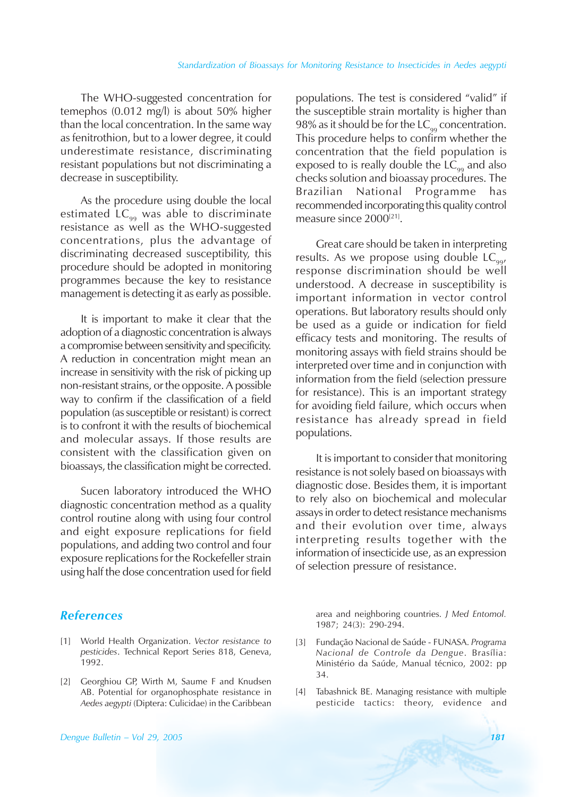The WHO-suggested concentration for temephos (0.012 mg/l) is about 50% higher than the local concentration. In the same way as fenitrothion, but to a lower degree, it could underestimate resistance, discriminating resistant populations but not discriminating a decrease in susceptibility.

As the procedure using double the local estimated  $LC_{99}$  was able to discriminate resistance as well as the WHO-suggested concentrations, plus the advantage of discriminating decreased susceptibility, this procedure should be adopted in monitoring programmes because the key to resistance management is detecting it as early as possible.

It is important to make it clear that the adoption of a diagnostic concentration is always a compromise between sensitivity and specificity. A reduction in concentration might mean an increase in sensitivity with the risk of picking up non-resistant strains, or the opposite. A possible way to confirm if the classification of a field population (as susceptible or resistant) is correct is to confront it with the results of biochemical and molecular assays. If those results are consistent with the classification given on bioassays, the classification might be corrected.

Sucen laboratory introduced the WHO diagnostic concentration method as a quality control routine along with using four control and eight exposure replications for field populations, and adding two control and four exposure replications for the Rockefeller strain using half the dose concentration used for field

### *References*

- [1] World Health Organization. *Vector resistance to pesticides*. Technical Report Series 818, Geneva, 1992.
- [2] Georghiou GP, Wirth M, Saume F and Knudsen AB. Potential for organophosphate resistance in *Aedes aegypti* (Diptera: Culicidae) in the Caribbean

populations. The test is considered "valid" if the susceptible strain mortality is higher than 98% as it should be for the  $LC_{qq}$  concentration. This procedure helps to confirm whether the concentration that the field population is exposed to is really double the  $LC_{\text{oo}}$  and also checks solution and bioassay procedures. The Brazilian National Programme has recommended incorporating this quality control measure since 2000<sup>[21]</sup>.

Great care should be taken in interpreting results. As we propose using double  $LC_{\text{eq}}$ , response discrimination should be well understood. A decrease in susceptibility is important information in vector control operations. But laboratory results should only be used as a guide or indication for field efficacy tests and monitoring. The results of monitoring assays with field strains should be interpreted over time and in conjunction with information from the field (selection pressure for resistance). This is an important strategy for avoiding field failure, which occurs when resistance has already spread in field populations.

It is important to consider that monitoring resistance is not solely based on bioassays with diagnostic dose. Besides them, it is important to rely also on biochemical and molecular assays in order to detect resistance mechanisms and their evolution over time, always interpreting results together with the information of insecticide use, as an expression of selection pressure of resistance.

area and neighboring countries. *J Med Entomol.* 1987; 24(3): 290-294.

- [3] Fundação Nacional de Saúde FUNASA. *Programa Nacional de Controle da Dengue*. BrasÌlia: Ministério da Saúde, Manual técnico, 2002: pp 34.
- [4] Tabashnick BE. Managing resistance with multiple pesticide tactics: theory, evidence and